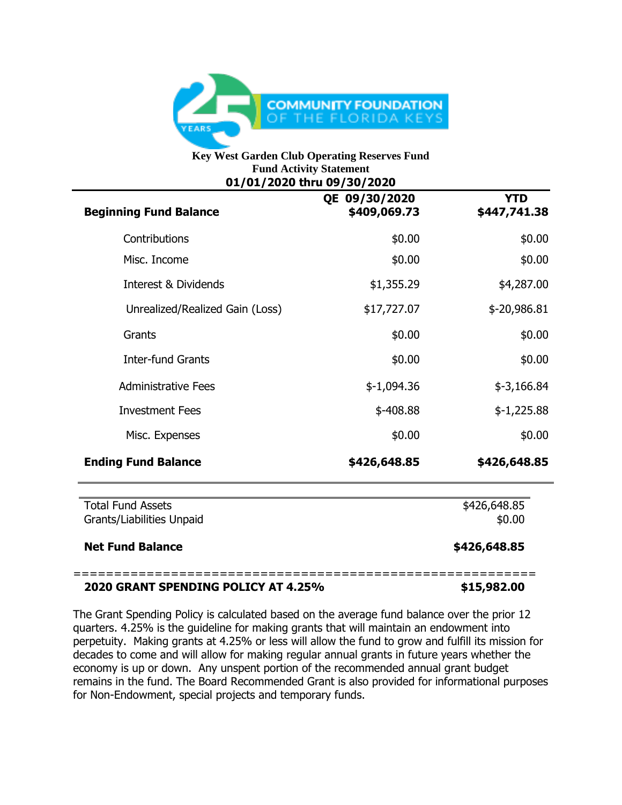

## **Key West Garden Club Operating Reserves Fund Fund Activity Statement 01/01/2020 thru 09/30/2020**

| 01/01/2020 unu 09/30/2020<br>QE 09/30/2020<br>\$409,069.73 | <b>YTD</b><br>\$447,741.38 |
|------------------------------------------------------------|----------------------------|
| \$0.00                                                     | \$0.00                     |
| \$0.00                                                     | \$0.00                     |
| \$1,355.29                                                 | \$4,287.00                 |
| \$17,727.07                                                | $$-20,986.81$              |
| \$0.00                                                     | \$0.00                     |
| \$0.00                                                     | \$0.00                     |
| $$-1,094.36$                                               | $$-3,166.84$               |
| $$-408.88$                                                 | $$-1,225.88$               |
| \$0.00                                                     | \$0.00                     |
| \$426,648.85                                               | \$426,648.85               |
|                                                            | \$426,648.85<br>\$0.00     |
|                                                            | \$426,648.85               |
|                                                            |                            |

## **2020 GRANT SPENDING POLICY AT 4.25% \$15,982.00**

The Grant Spending Policy is calculated based on the average fund balance over the prior 12 quarters. 4.25% is the guideline for making grants that will maintain an endowment into perpetuity. Making grants at 4.25% or less will allow the fund to grow and fulfill its mission for decades to come and will allow for making regular annual grants in future years whether the economy is up or down. Any unspent portion of the recommended annual grant budget remains in the fund. The Board Recommended Grant is also provided for informational purposes for Non-Endowment, special projects and temporary funds.